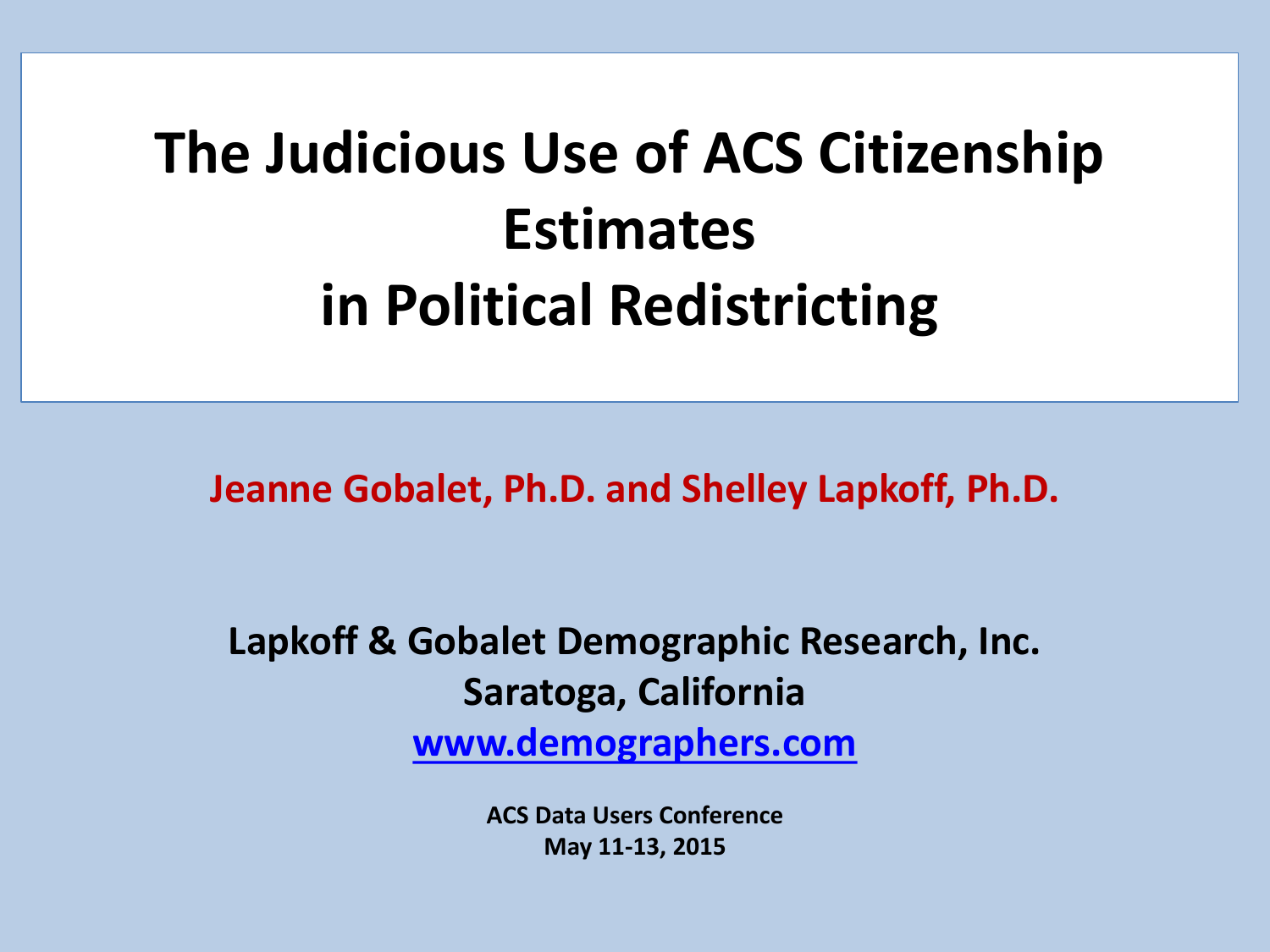# **The Judicious Use of ACS Citizenship Estimates in Political Redistricting**

**Jeanne Gobalet, Ph.D. and Shelley Lapkoff, Ph.D.**

**Lapkoff & Gobalet Demographic Research, Inc. Saratoga, California**

**[www.demographers.com](http://www.demographers.com/)**

**ACS Data Users Conference May 11-13, 2015**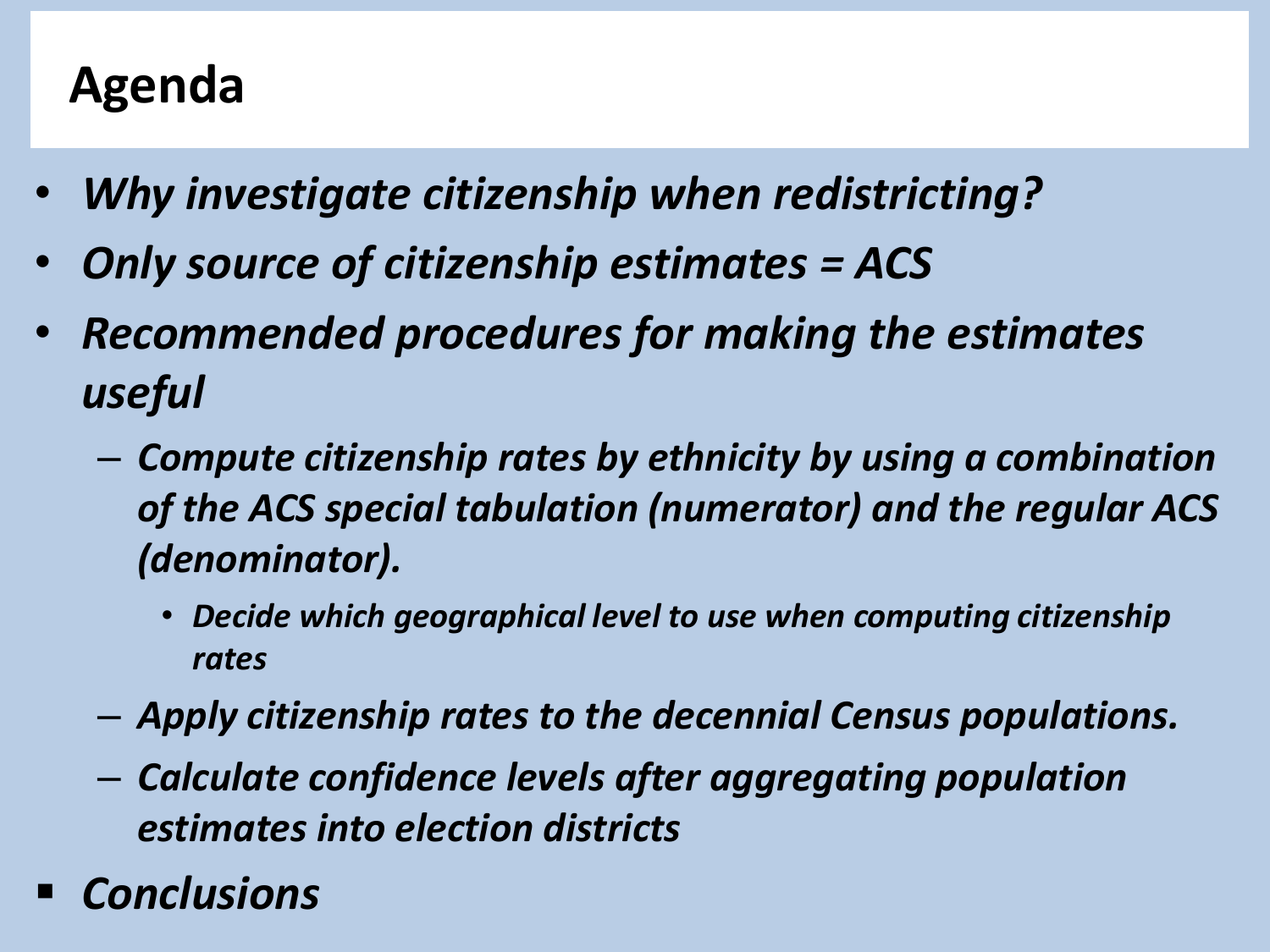# **Agenda**

- *Why investigate citizenship when redistricting?*
- *Only source of citizenship estimates = ACS*
- *Recommended procedures for making the estimates useful* 
	- *Compute citizenship rates by ethnicity by using a combination of the ACS special tabulation (numerator) and the regular ACS (denominator).*
		- *Decide which geographical level to use when computing citizenship rates*
	- *Apply citizenship rates to the decennial Census populations.*
	- *Calculate confidence levels after aggregating population estimates into election districts*
- *Conclusions*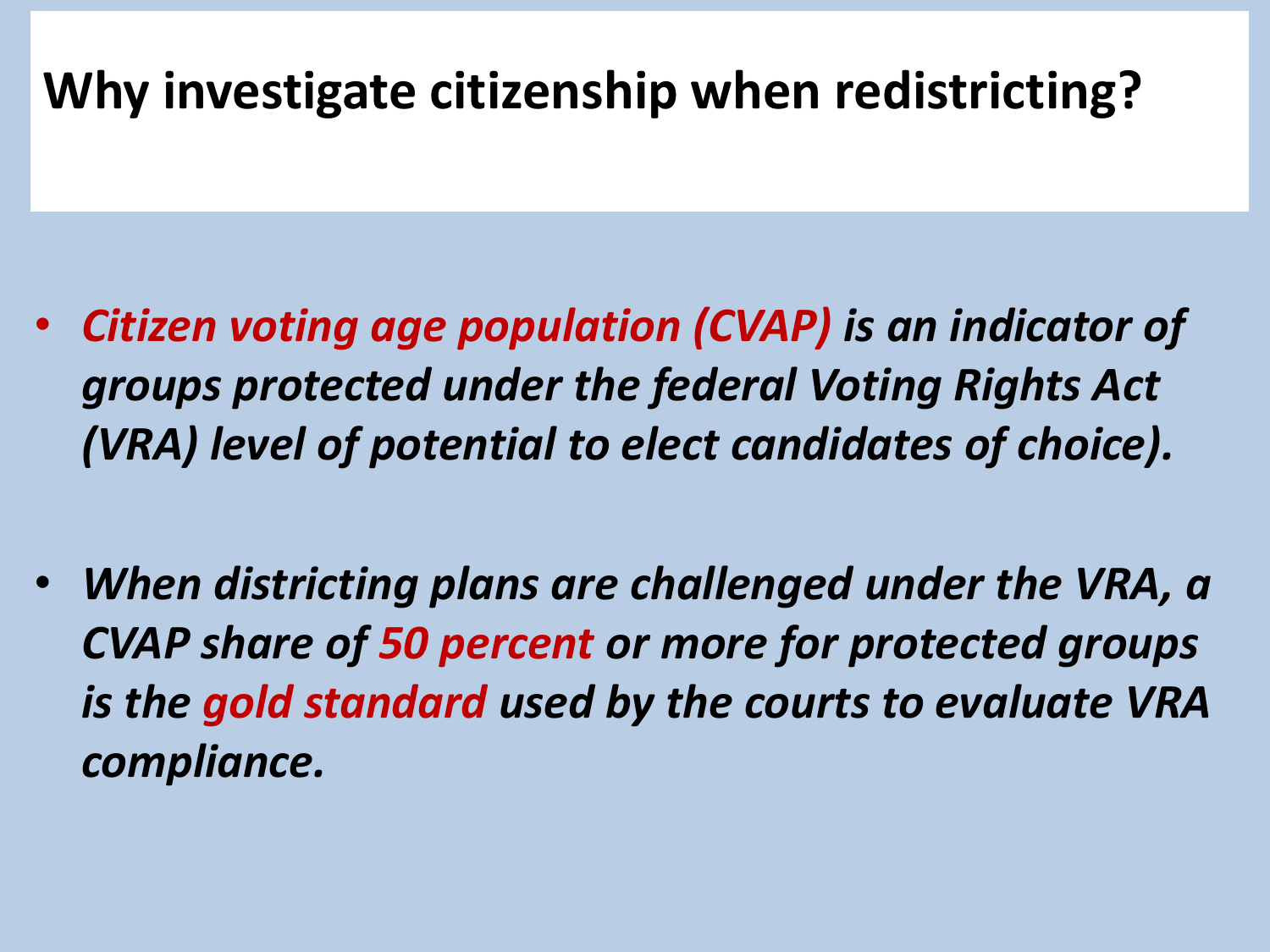# **Why investigate citizenship when redistricting?**

- *Citizen voting age population (CVAP) is an indicator of groups protected under the federal Voting Rights Act (VRA) level of potential to elect candidates of choice).*
- *When districting plans are challenged under the VRA, a CVAP share of 50 percent or more for protected groups is the gold standard used by the courts to evaluate VRA compliance.*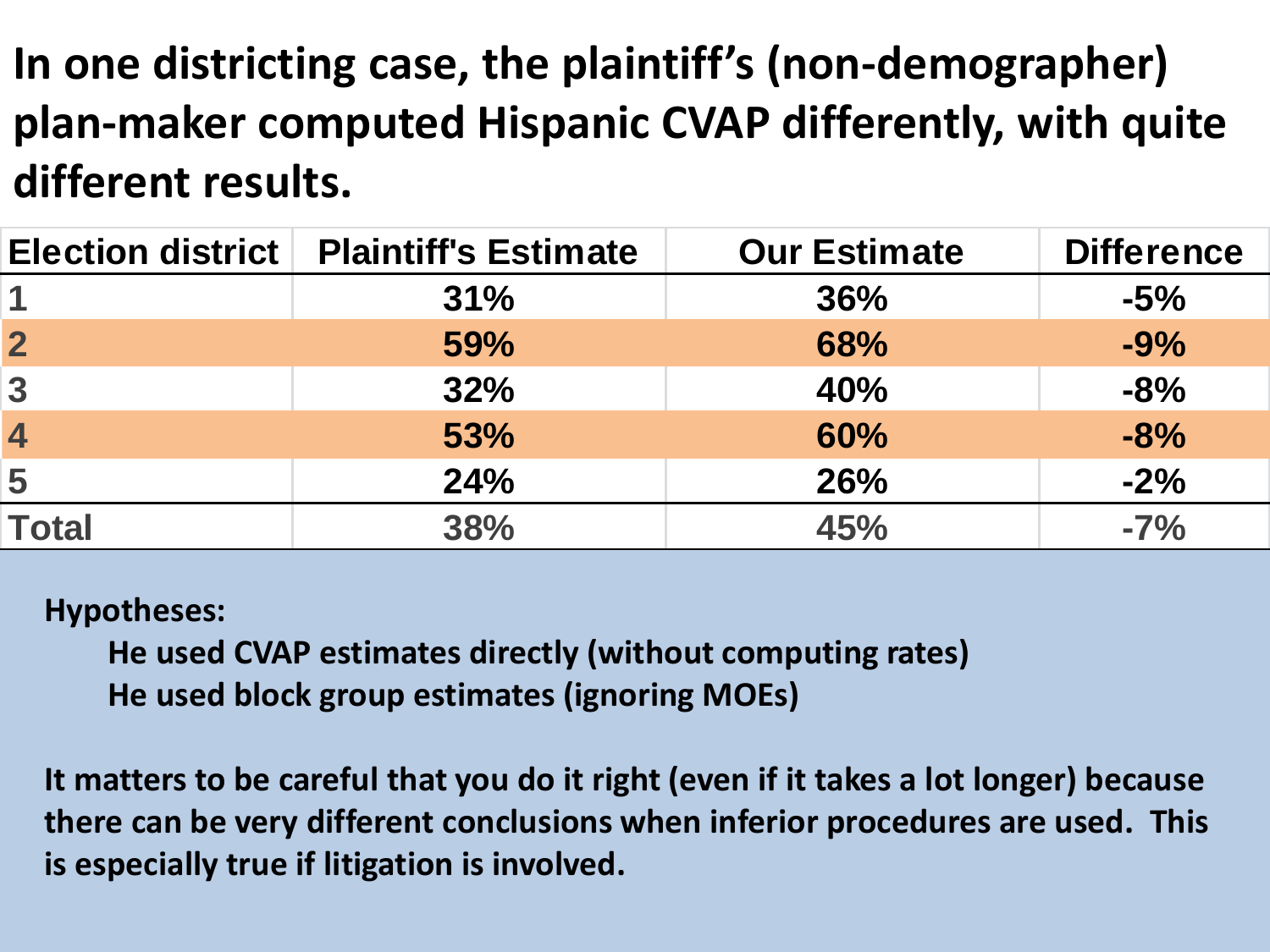**In one districting case, the plaintiff's (non-demographer) plan-maker computed Hispanic CVAP differently, with quite different results.** 

| <b>Election district</b> | <b>Plaintiff's Estimate</b> | <b>Our Estimate</b> | <b>Difference</b> |
|--------------------------|-----------------------------|---------------------|-------------------|
|                          | 31%                         | 36%                 | $-5%$             |
| $\mathbf{2}$             | 59%                         | 68%                 | $-9%$             |
| $\overline{3}$           | 32%                         | 40%                 | $-8%$             |
| $\overline{4}$           | 53%                         | 60%                 | $-8%$             |
| 5                        | <b>24%</b>                  | <b>26%</b>          | $-2%$             |
| <b>Total</b>             | 38%                         | 45%                 | $-7%$             |

#### **Hypotheses:**

**He used CVAP estimates directly (without computing rates) He used block group estimates (ignoring MOEs)**

**It matters to be careful that you do it right (even if it takes a lot longer) because there can be very different conclusions when inferior procedures are used. This is especially true if litigation is involved.**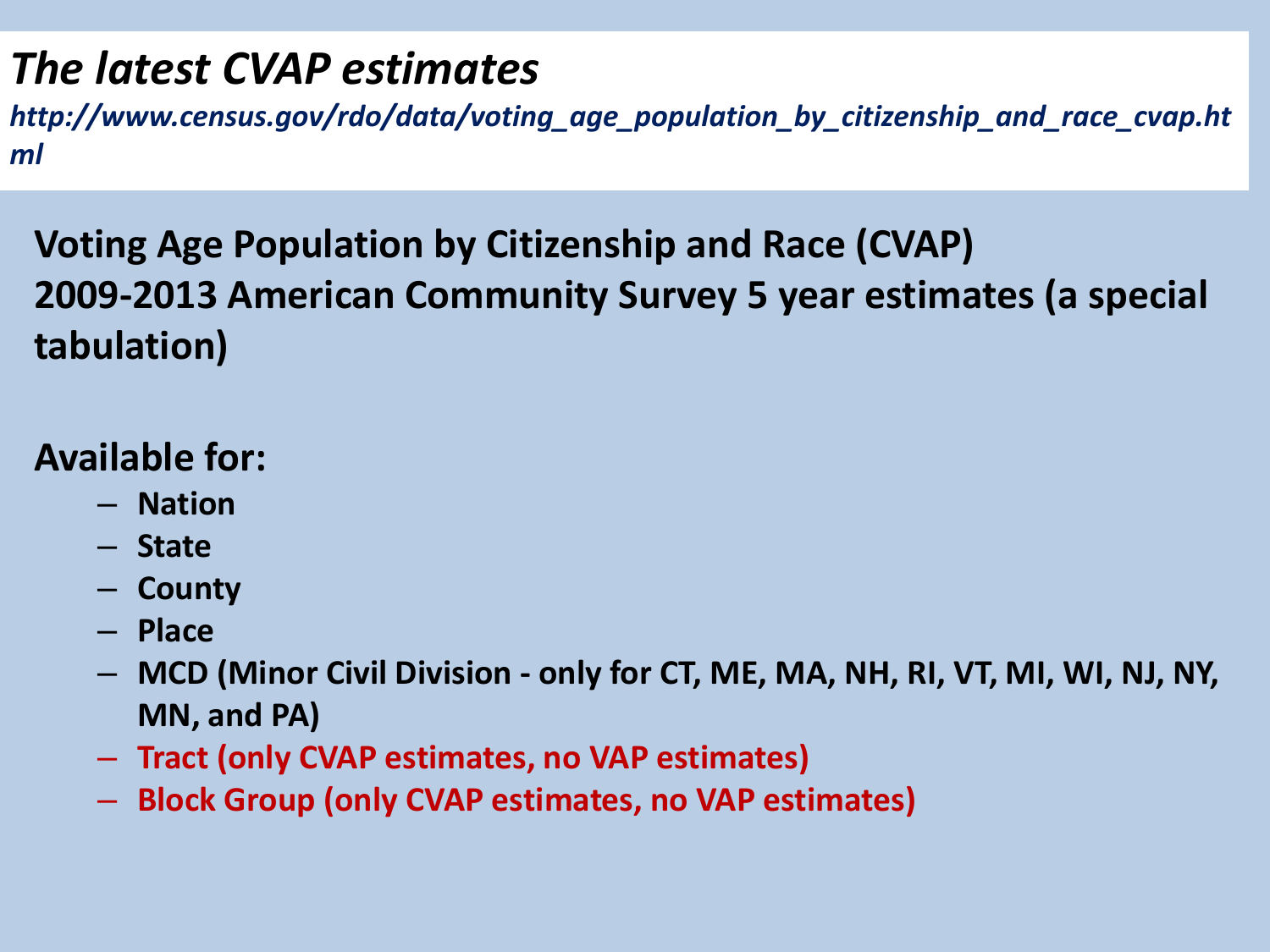## *The latest CVAP estimates*

*http://www.census.gov/rdo/data/voting\_age\_population\_by\_citizenship\_and\_race\_cvap.ht ml*

**Voting Age Population by Citizenship and Race (CVAP) 2009-2013 American Community Survey 5 year estimates (a special tabulation)**

#### **Available for:**

- **Nation**
- **State**
- **County**
- **Place**
- **MCD (Minor Civil Division - only for CT, ME, MA, NH, RI, VT, MI, WI, NJ, NY, MN, and PA)**
- **Tract (only CVAP estimates, no VAP estimates)**
- **Block Group (only CVAP estimates, no VAP estimates)**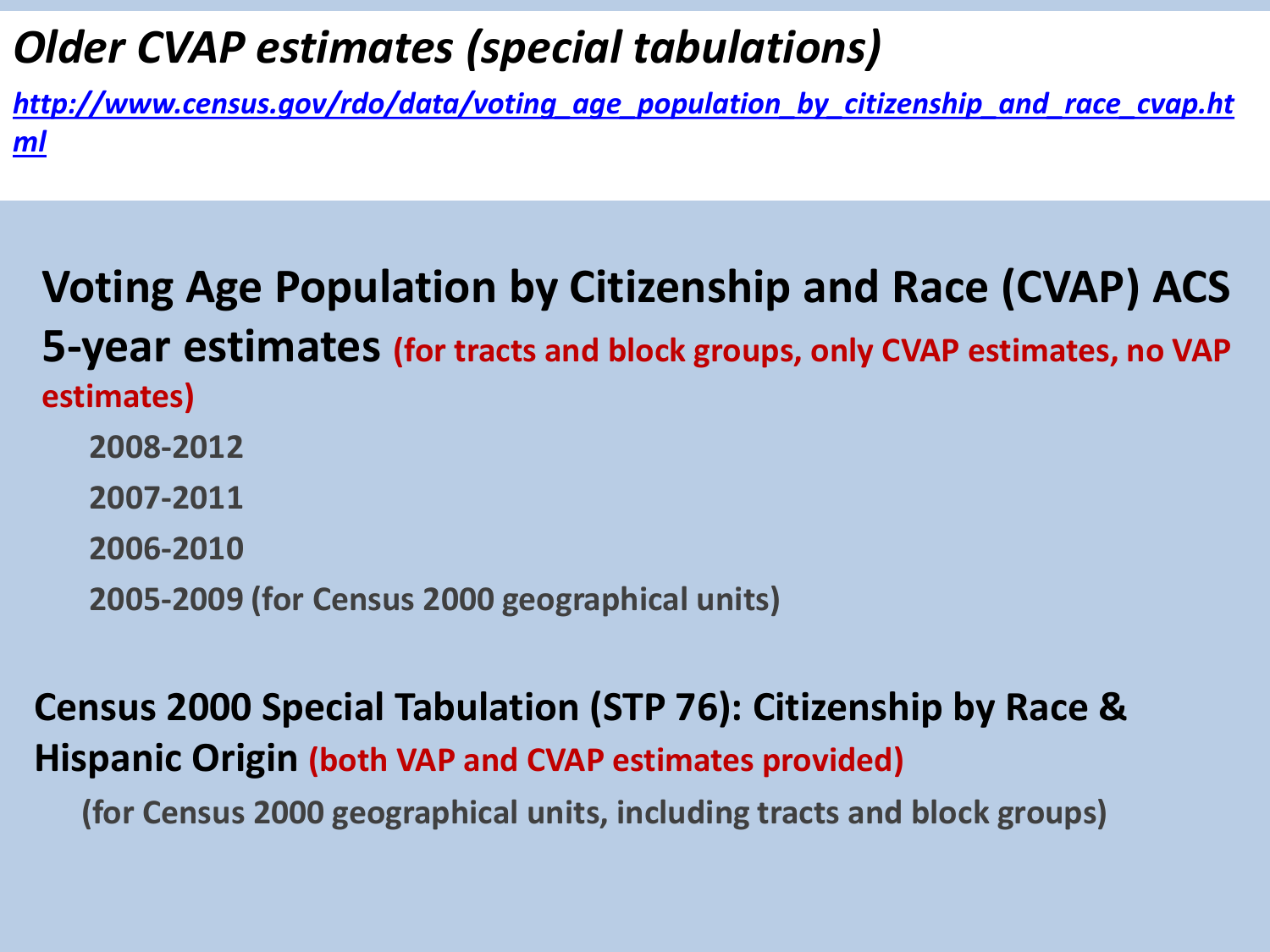### *Older CVAP estimates (special tabulations)*

*[http://www.census.gov/rdo/data/voting\\_age\\_population\\_by\\_citizenship\\_and\\_race\\_cvap.ht](http://www.census.gov/rdo/data/voting_age_population_by_citizenship_and_race_cvap.html) [ml](http://www.census.gov/rdo/data/voting_age_population_by_citizenship_and_race_cvap.html)*

### **Voting Age Population by Citizenship and Race (CVAP) ACS 5-year estimates (for tracts and block groups, only CVAP estimates, no VAP estimates) 2008-2012 2007-2011 2006-2010**

**2005-2009 (for Census 2000 geographical units)**

#### **Census 2000 Special Tabulation (STP 76): Citizenship by Race & Hispanic Origin (both VAP and CVAP estimates provided)**

 **(for Census 2000 geographical units, including tracts and block groups)**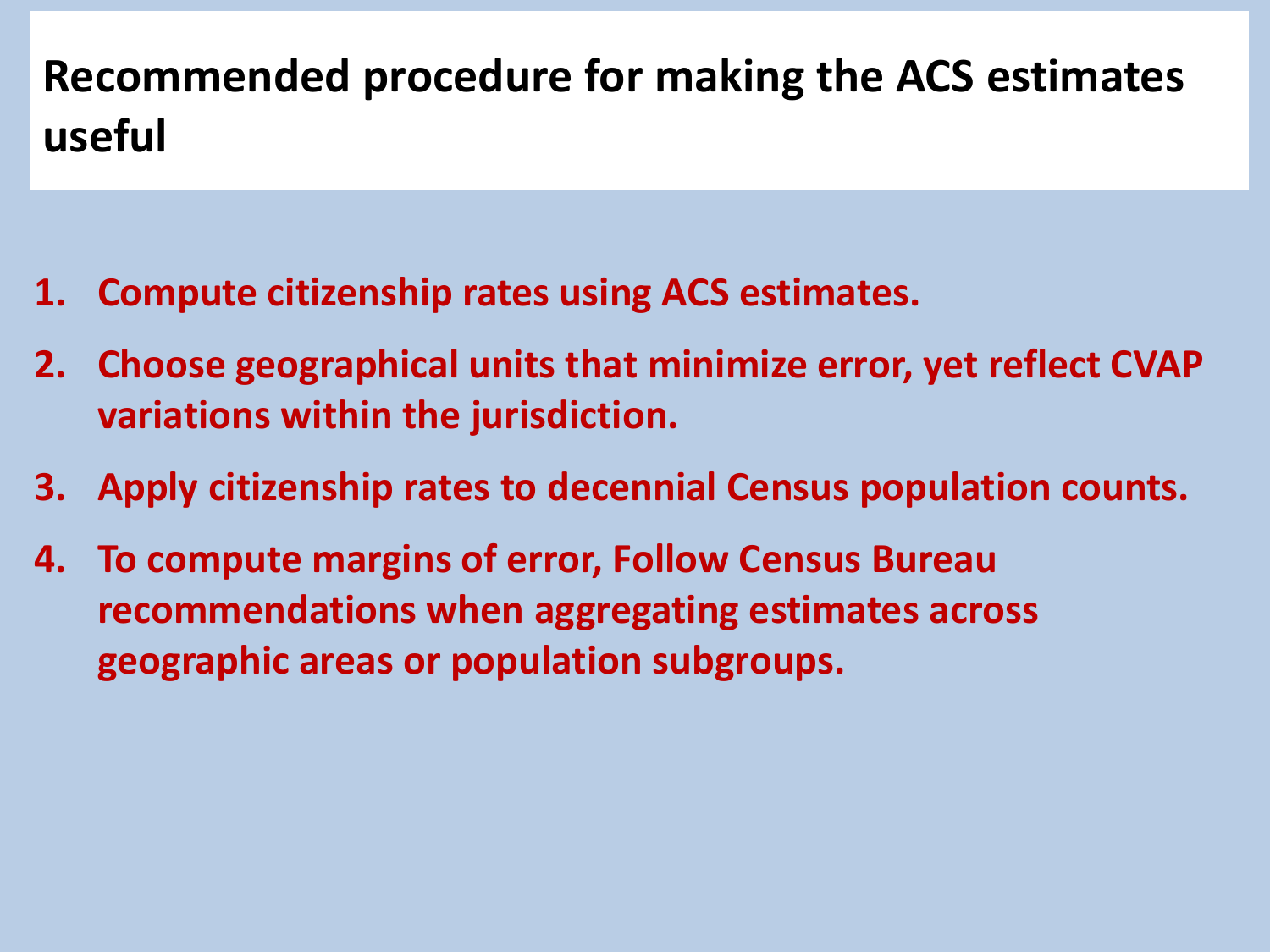# **Recommended procedure for making the ACS estimates useful**

- **1. Compute citizenship rates using ACS estimates.**
- **2. Choose geographical units that minimize error, yet reflect CVAP variations within the jurisdiction.**
- **3. Apply citizenship rates to decennial Census population counts.**
- **4. To compute margins of error, Follow Census Bureau recommendations when aggregating estimates across geographic areas or population subgroups.**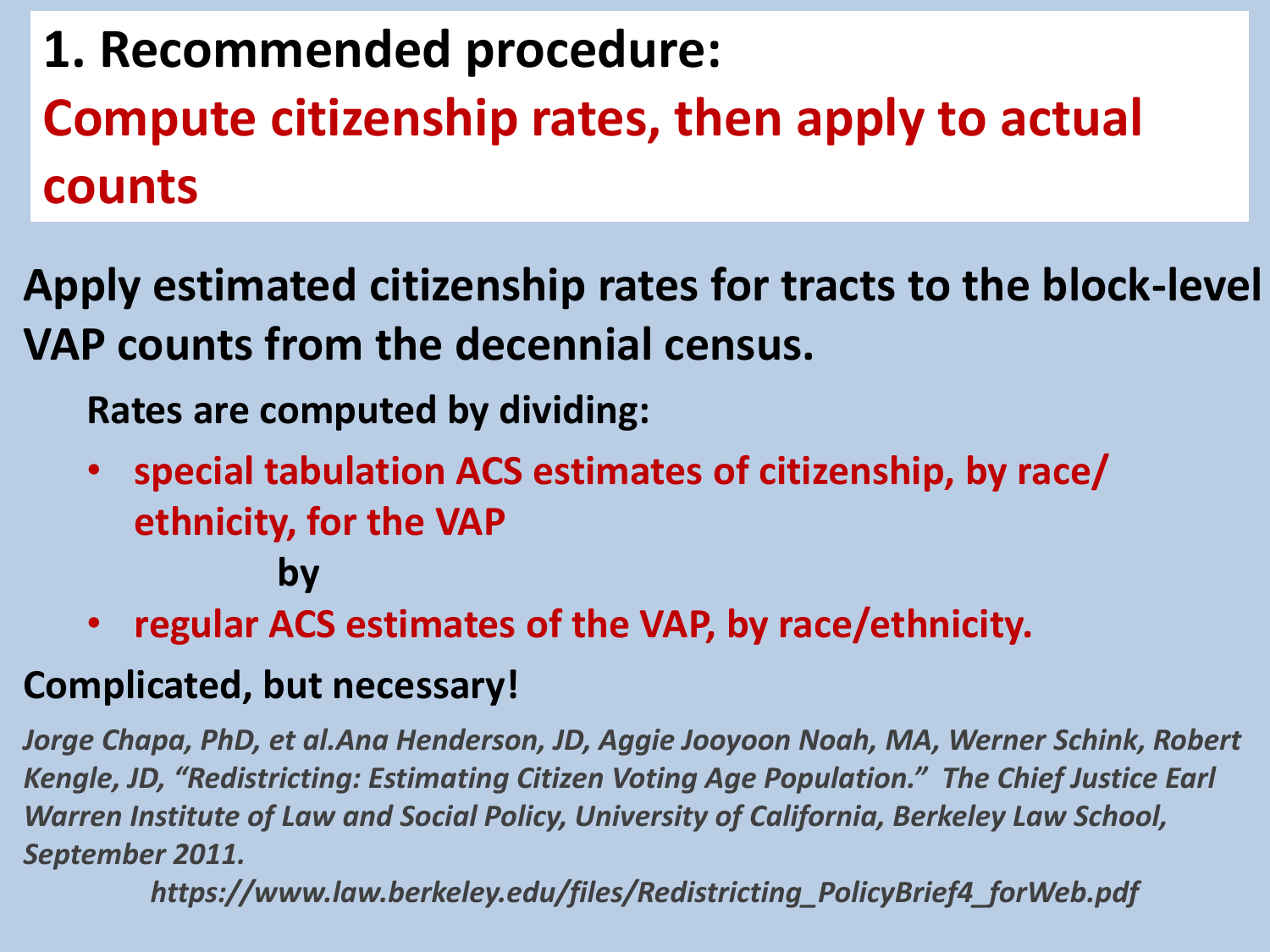**1. Recommended procedure: Compute citizenship rates, then apply to actual counts**

**Apply estimated citizenship rates for tracts to the block-level VAP counts from the decennial census.** 

**Rates are computed by dividing:**

- **special tabulation ACS estimates of citizenship, by race/ ethnicity, for the VAP by**
- **regular ACS estimates of the VAP, by race/ethnicity.**

#### **Complicated, but necessary!**

*Jorge Chapa, PhD, et al.Ana Henderson, JD, Aggie Jooyoon Noah, MA, Werner Schink, Robert Kengle, JD, "Redistricting: Estimating Citizen Voting Age Population." The Chief Justice Earl Warren Institute of Law and Social Policy, University of California, Berkeley Law School, September 2011.* 

*https://www.law.berkeley.edu/files/Redistricting\_PolicyBrief4\_forWeb.pdf*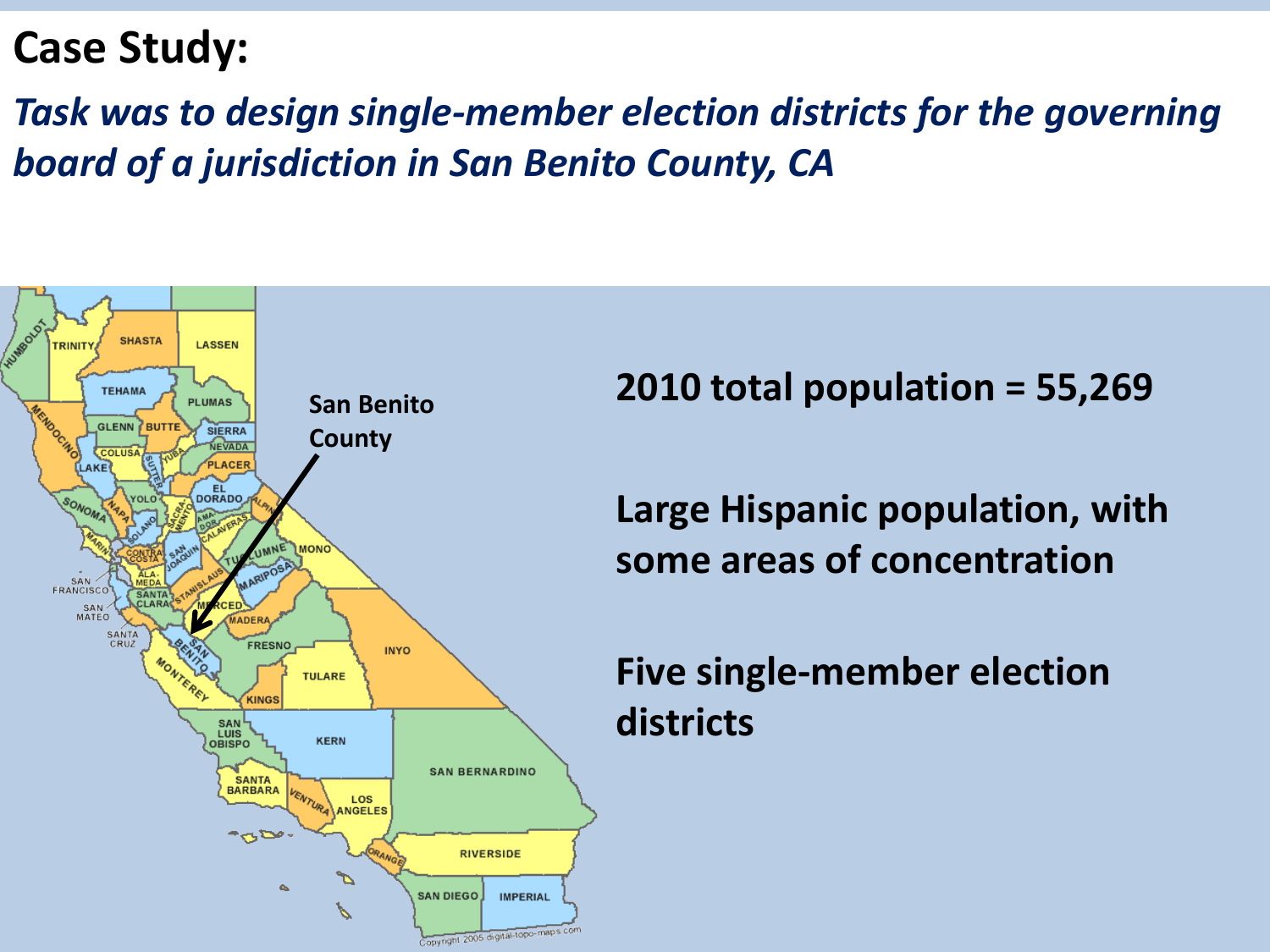### **Case Study:**

*Task was to design single-member election districts for the governing board of a jurisdiction in San Benito County, CA*



**2010 total population = 55,269**

**Large Hispanic population, with some areas of concentration**

#### **Five single-member election districts**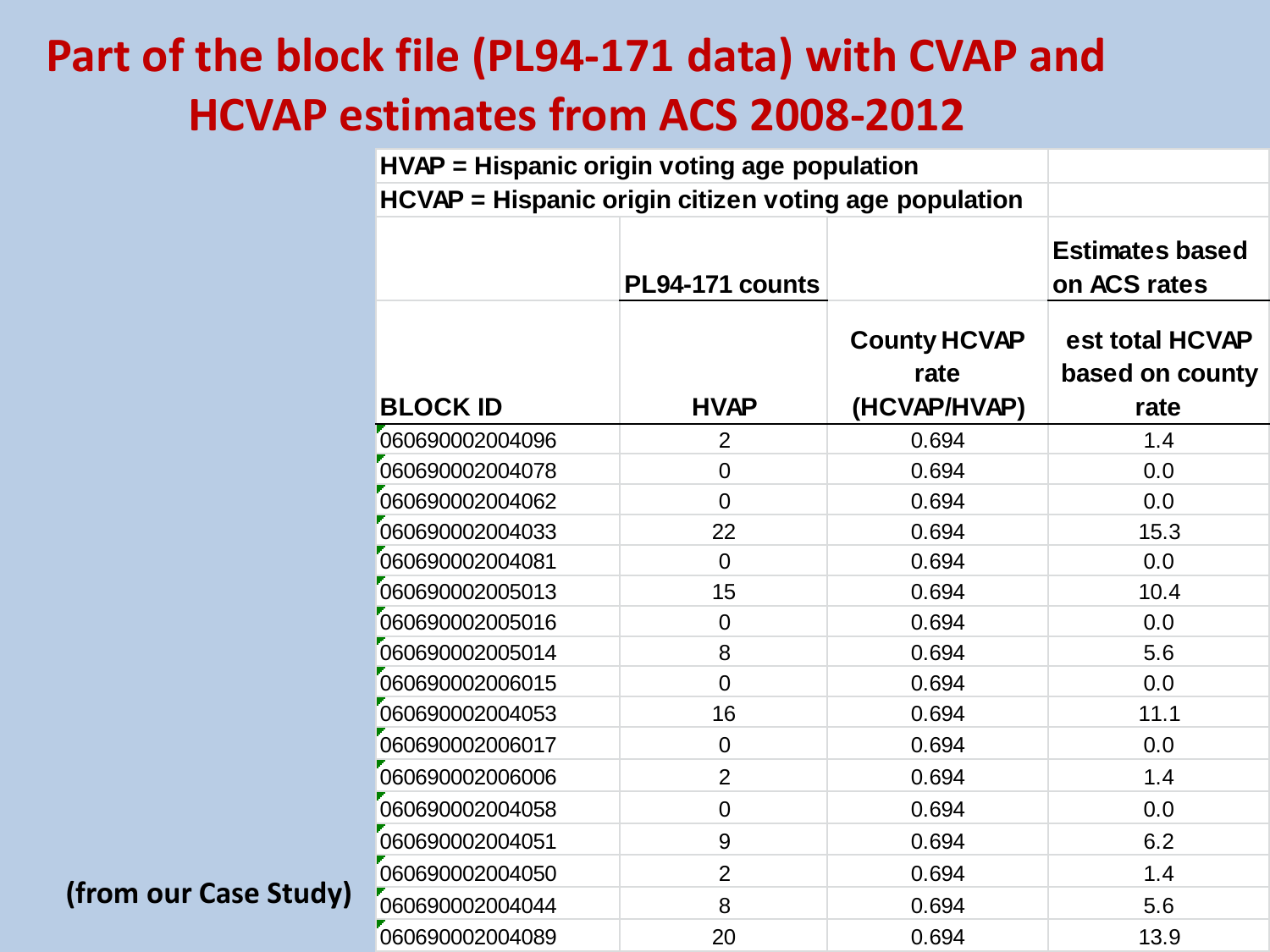# **Part of the block file (PL94-171 data) with CVAP and HCVAP estimates from ACS 2008-2012**

|                       | HVAP = Hispanic origin voting age population          |                 |                                             |                                            |
|-----------------------|-------------------------------------------------------|-----------------|---------------------------------------------|--------------------------------------------|
|                       | HCVAP = Hispanic origin citizen voting age population |                 |                                             |                                            |
|                       |                                                       | PL94-171 counts |                                             | <b>Estimates based</b><br>on ACS rates     |
|                       | <b>BLOCK ID</b>                                       | <b>HVAP</b>     | <b>County HCVAP</b><br>rate<br>(HCVAP/HVAP) | est total HCVAP<br>based on county<br>rate |
|                       | 060690002004096                                       | $\overline{2}$  | 0.694                                       | 1.4                                        |
|                       | 060690002004078                                       | $\overline{0}$  | 0.694                                       | 0.0                                        |
|                       | 060690002004062                                       | $\overline{0}$  | 0.694                                       | 0.0                                        |
|                       | 060690002004033                                       | 22              | 0.694                                       | 15.3                                       |
|                       | 060690002004081                                       | $\overline{0}$  | 0.694                                       | 0.0                                        |
|                       | 060690002005013                                       | 15              | 0.694                                       | 10.4                                       |
|                       | 060690002005016                                       | 0               | 0.694                                       | 0.0                                        |
|                       | 060690002005014                                       | 8               | 0.694                                       | 5.6                                        |
|                       | 060690002006015                                       | 0               | 0.694                                       | 0.0                                        |
|                       | 060690002004053                                       | 16              | 0.694                                       | 11.1                                       |
|                       | 060690002006017                                       | $\mathbf 0$     | 0.694                                       | 0.0                                        |
|                       | 060690002006006                                       | $\overline{2}$  | 0.694                                       | 1.4                                        |
|                       | 060690002004058                                       | $\mathbf 0$     | 0.694                                       | 0.0                                        |
|                       | 060690002004051                                       | 9               | 0.694                                       | 6.2                                        |
|                       | 060690002004050                                       | $\overline{2}$  | 0.694                                       | 1.4                                        |
| (from our Case Study) | 060690002004044                                       | 8               | 0.694                                       | 5.6                                        |
|                       | 060690002004089                                       | 20              | 0.694                                       | 13.9                                       |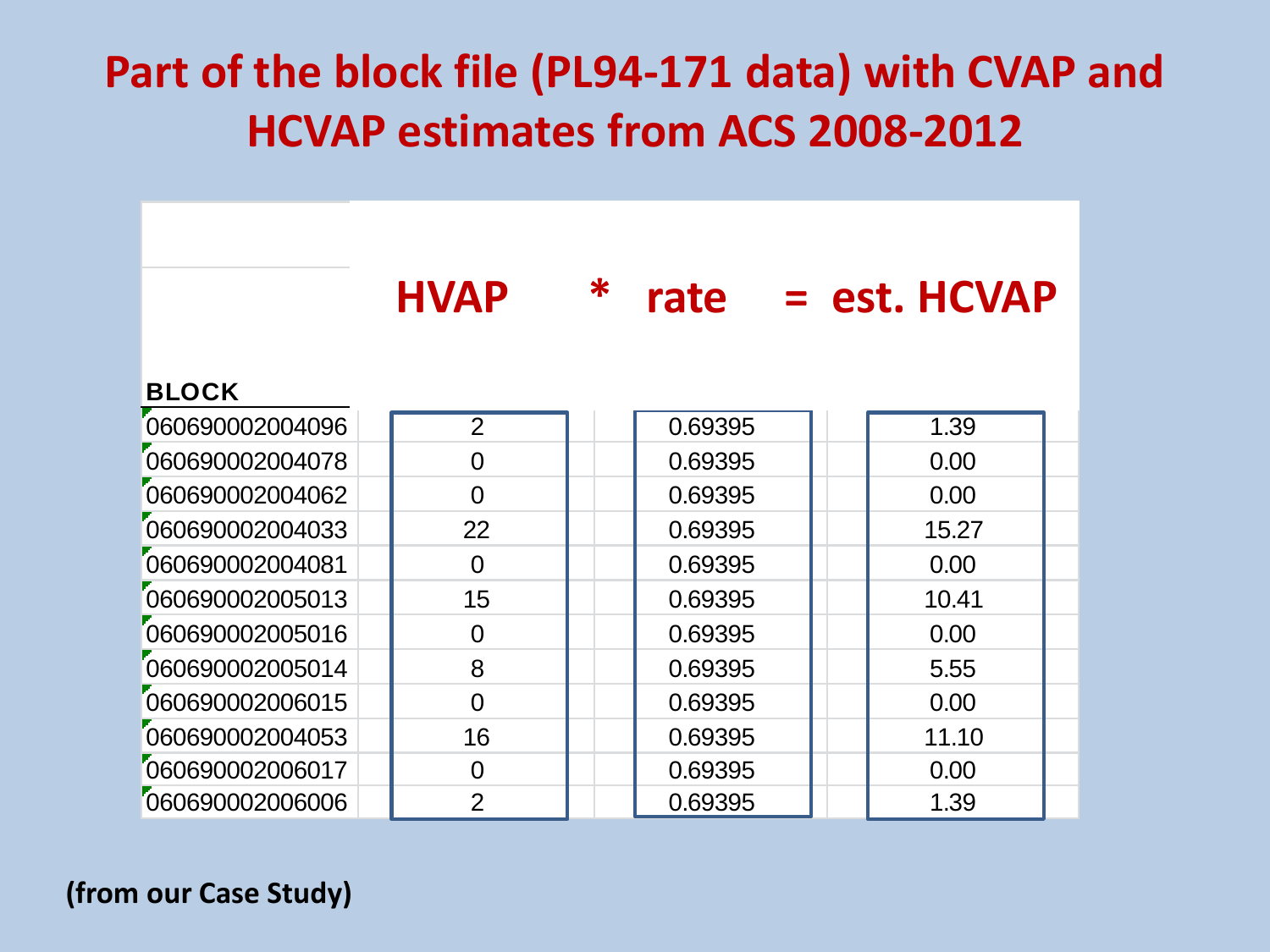# **Part of the block file (PL94-171 data) with CVAP and HCVAP estimates from ACS 2008-2012**

|                 | <b>HVAP</b>    | $\ast$ | rate    | $=$ est. HCVAP |  |
|-----------------|----------------|--------|---------|----------------|--|
| <b>BLOCK</b>    |                |        |         |                |  |
| 060690002004096 | $\overline{2}$ |        | 0.69395 | 1.39           |  |
| 060690002004078 | $\overline{0}$ |        | 0.69395 | 0.00           |  |
| 060690002004062 | $\Omega$       |        | 0.69395 | 0.00           |  |
| 060690002004033 | 22             |        | 0.69395 | 15.27          |  |
| 060690002004081 | $\Omega$       |        | 0.69395 | 0.00           |  |
| 060690002005013 | 15             |        | 0.69395 | 10.41          |  |
| 060690002005016 | 0              |        | 0.69395 | 0.00           |  |
| 060690002005014 | 8              |        | 0.69395 | 5.55           |  |
| 060690002006015 | $\overline{0}$ |        | 0.69395 | 0.00           |  |
| 060690002004053 | 16             |        | 0.69395 | 11.10          |  |
| 060690002006017 | $\Omega$       |        | 0.69395 | 0.00           |  |
| 060690002006006 | $\overline{2}$ |        | 0.69395 | 1.39           |  |

#### **(from our Case Study)**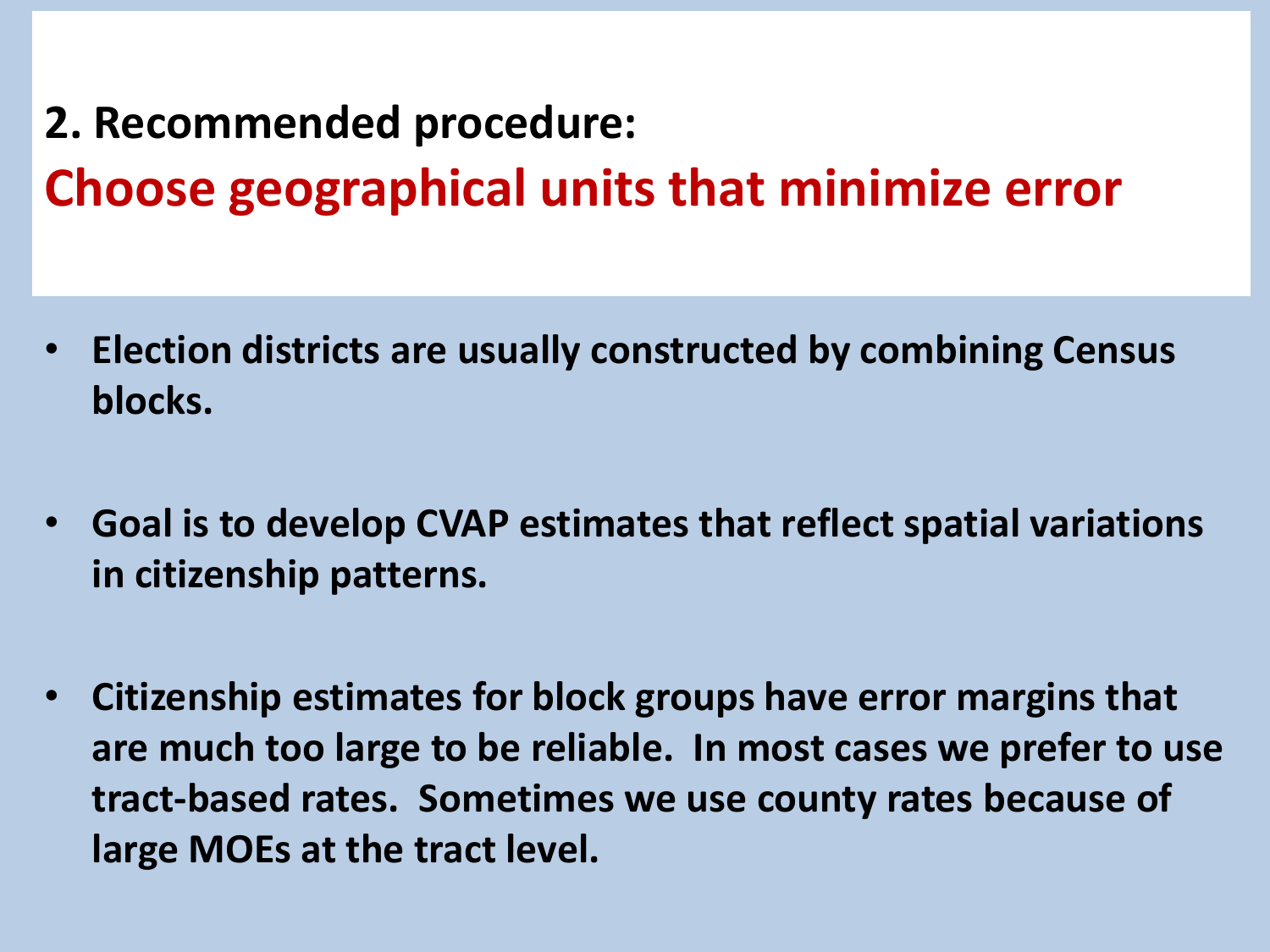**2. Recommended procedure: Choose geographical units that minimize error**

- **Election districts are usually constructed by combining Census blocks.**
- **Goal is to develop CVAP estimates that reflect spatial variations in citizenship patterns.**
- **Citizenship estimates for block groups have error margins that are much too large to be reliable. In most cases we prefer to use tract-based rates. Sometimes we use county rates because of large MOEs at the tract level.**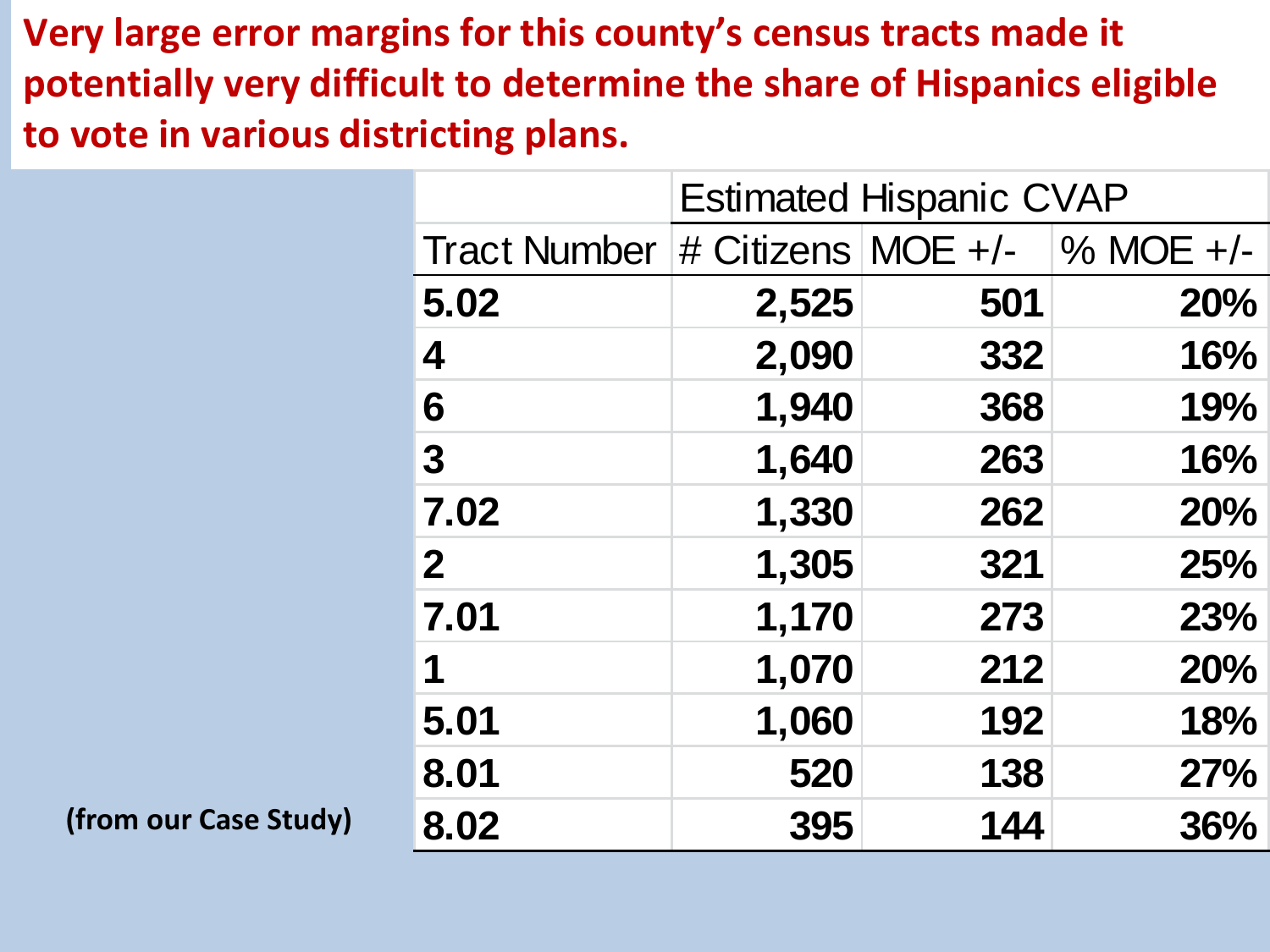**Very large error margins for this county's census tracts made it potentially very difficult to determine the share of Hispanics eligible to vote in various districting plans.** 

|                       |                     | <b>Estimated Hispanic CVAP</b> |     |                                |
|-----------------------|---------------------|--------------------------------|-----|--------------------------------|
|                       | <b>Tract Number</b> |                                |     | # Citizens $MOE +/ \% MOE +/-$ |
|                       | 5.02                | 2,525                          | 501 | <b>20%</b>                     |
|                       | 4                   | 2,090                          | 332 | 16%                            |
|                       | 6                   | 1,940                          | 368 | 19%                            |
|                       | $\mathbf 3$         | 1,640                          | 263 | 16%                            |
|                       | 7.02                | 1,330                          | 262 | <b>20%</b>                     |
|                       | $\boldsymbol{2}$    | 1,305                          | 321 | <b>25%</b>                     |
|                       | 7.01                | 1,170                          | 273 | 23%                            |
|                       | 1                   | 1,070                          | 212 | <b>20%</b>                     |
|                       | 5.01                | 1,060                          | 192 | 18%                            |
|                       | 8.01                | 520                            | 138 | 27%                            |
| (from our Case Study) | 8.02                | 395                            | 144 | <b>36%</b>                     |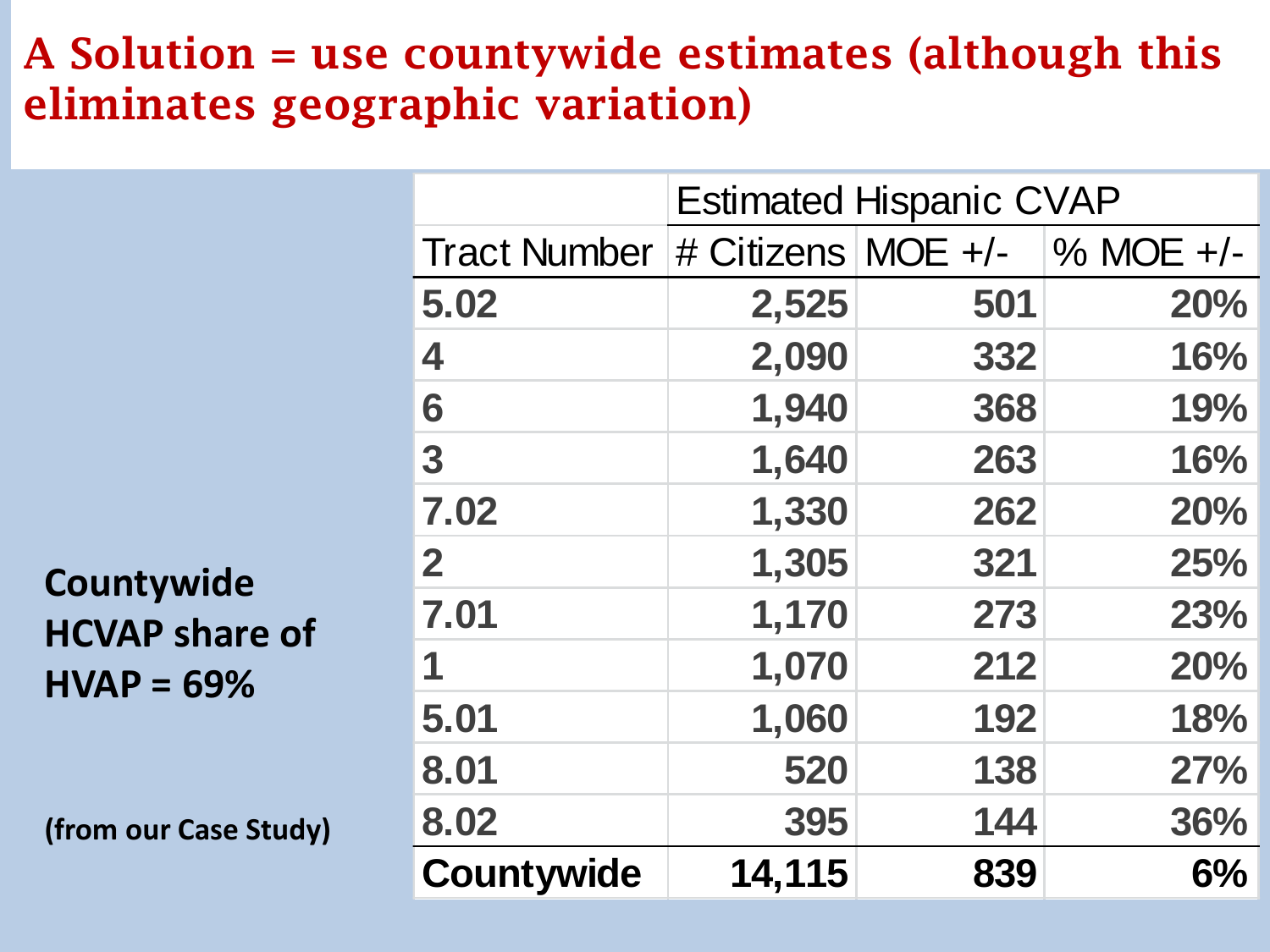### **A Solution = use countywide estimates (although this eliminates geographic variation)**

|                       |                                     | <b>Estimated Hispanic CVAP</b> |     |              |
|-----------------------|-------------------------------------|--------------------------------|-----|--------------|
|                       | Tract Number   # Citizens   MOE +/- |                                |     | $\%$ MOE +/- |
|                       | 5.02                                | 2,525                          | 501 | <b>20%</b>   |
|                       | 4                                   | 2,090                          | 332 | 16%          |
|                       | 6                                   | 1,940                          | 368 | 19%          |
|                       | 3                                   | 1,640                          | 263 | 16%          |
|                       | 7.02                                | 1,330                          | 262 | <b>20%</b>   |
| Countywide            | $\mathbf{2}$                        | 1,305                          | 321 | <b>25%</b>   |
| <b>HCVAP share of</b> | 7.01                                | 1,170                          | 273 | 23%          |
| $HVAP = 69%$          | 1                                   | 1,070                          | 212 | <b>20%</b>   |
|                       | 5.01                                | 1,060                          | 192 | 18%          |
|                       | 8.01                                | 520                            | 138 | 27%          |
| (from our Case Study) | 8.02                                | 395                            | 144 | 36%          |
|                       | <b>Countywide</b>                   | 14,115                         | 839 | 6%           |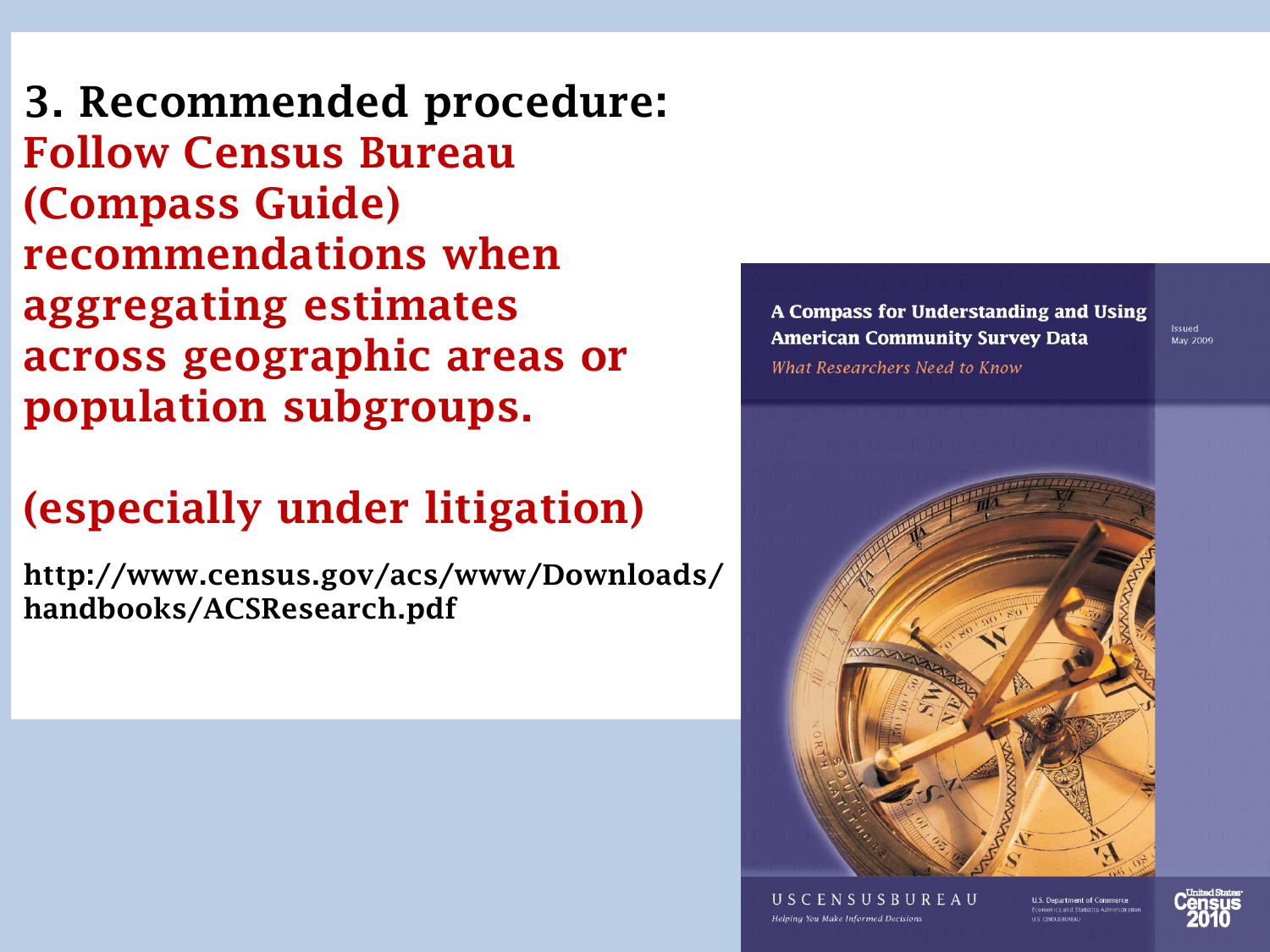**3. Recommended procedure: Follow Census Bureau (Compass Guide) recommendations when aggregating estimates across geographic areas or population subgroups.**

## **(especially under litigation)**

**http://www.census.gov/acs/www/Downloads/ handbooks/ACSResearch.pdf**

A Compass for Understanding and Using **American Community Survey Data** What Researchers Need to Know



USCENSUSBUREAU Helping You Make Informed Decisions

**U.S. Department of Commerce** 



Issued

May 2009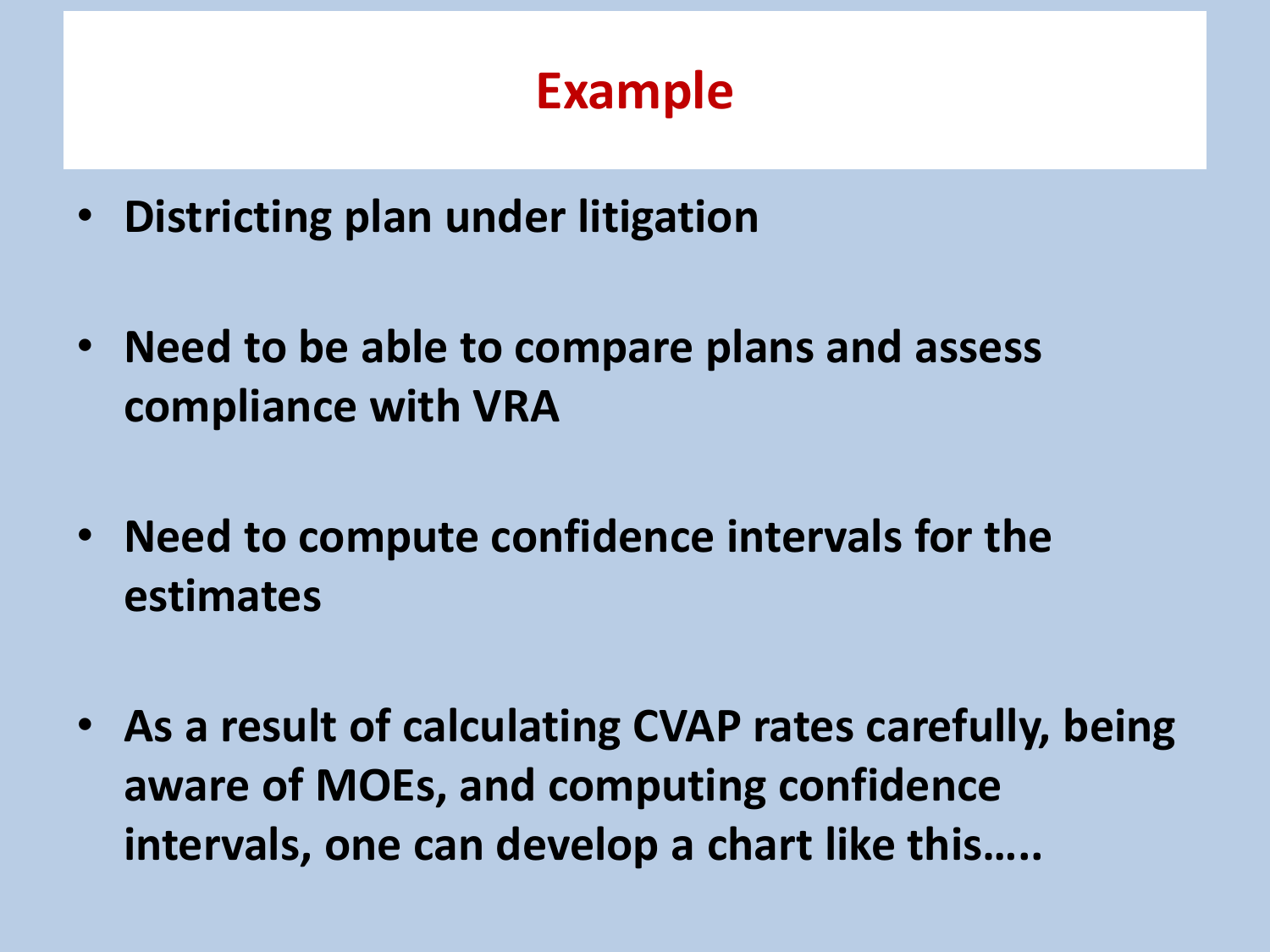# **Example**

- **Districting plan under litigation**
- **Need to be able to compare plans and assess compliance with VRA**
- **Need to compute confidence intervals for the estimates**
- **As a result of calculating CVAP rates carefully, being aware of MOEs, and computing confidence intervals, one can develop a chart like this…..**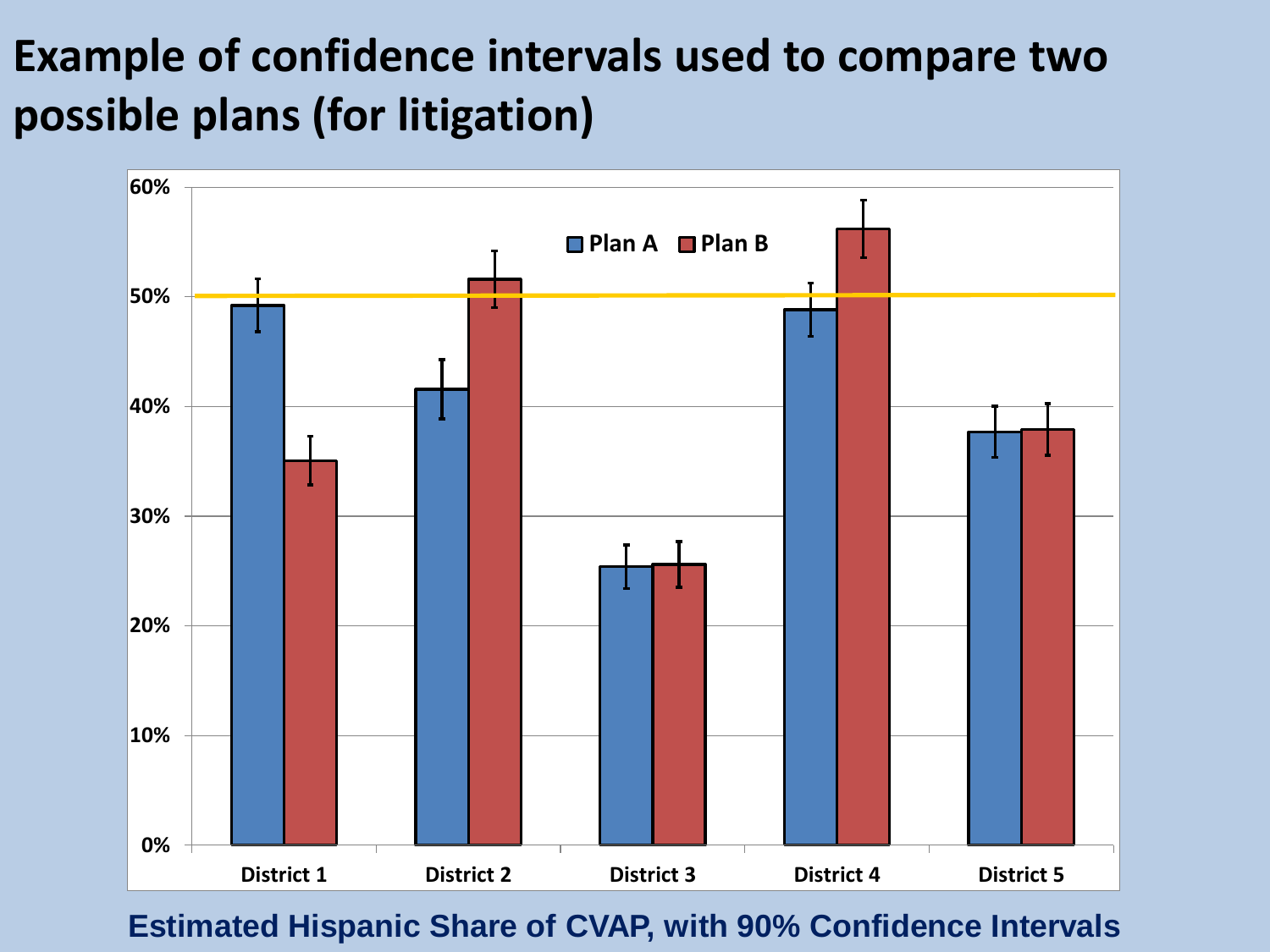# **Example of confidence intervals used to compare two possible plans (for litigation)**



**Estimated Hispanic Share of CVAP, with 90% Confidence Intervals**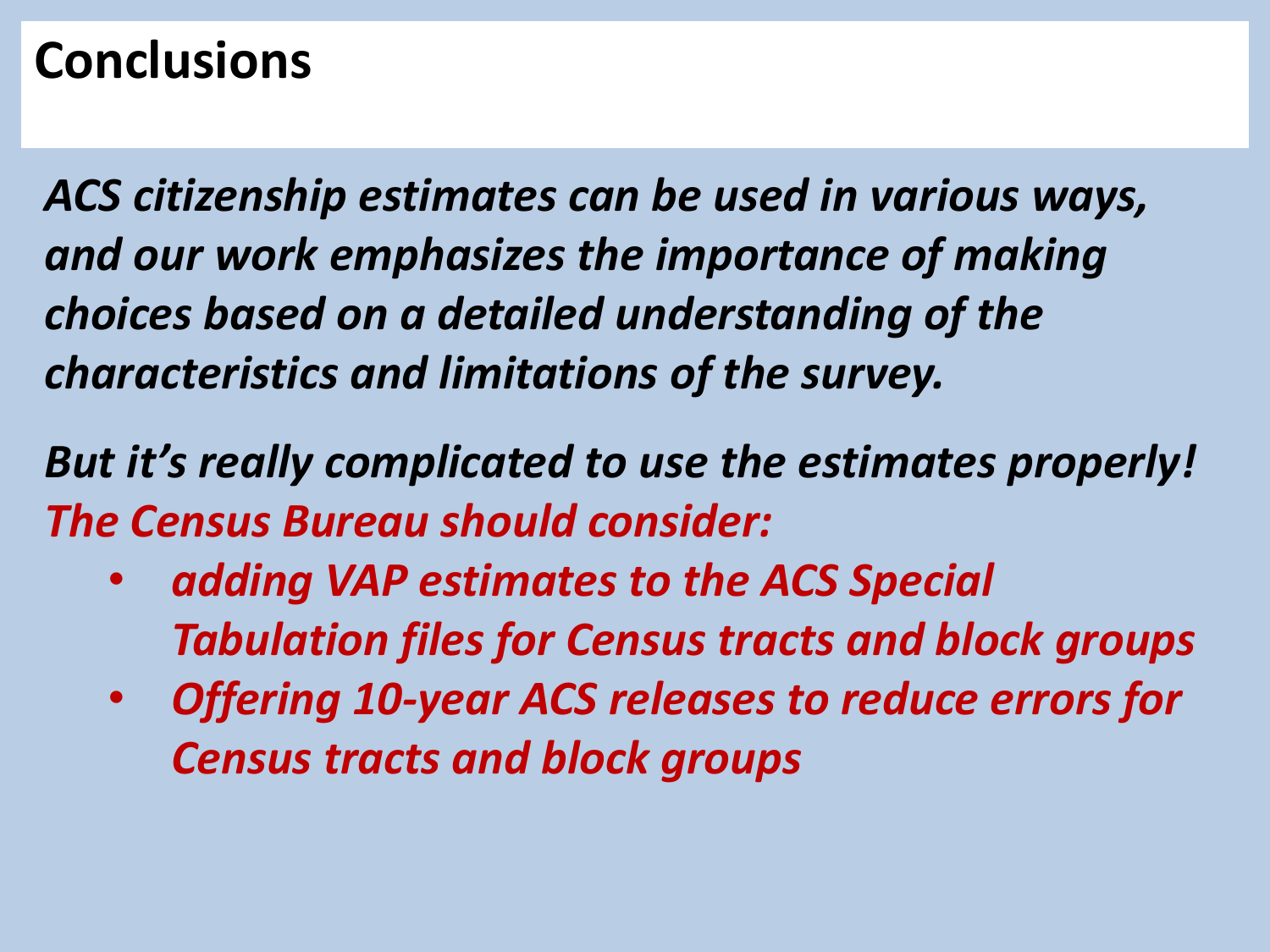# **Conclusions**

*ACS citizenship estimates can be used in various ways, and our work emphasizes the importance of making choices based on a detailed understanding of the characteristics and limitations of the survey.* 

*But it's really complicated to use the estimates properly! The Census Bureau should consider:*

- *adding VAP estimates to the ACS Special Tabulation files for Census tracts and block groups*
- *Offering 10-year ACS releases to reduce errors for Census tracts and block groups*